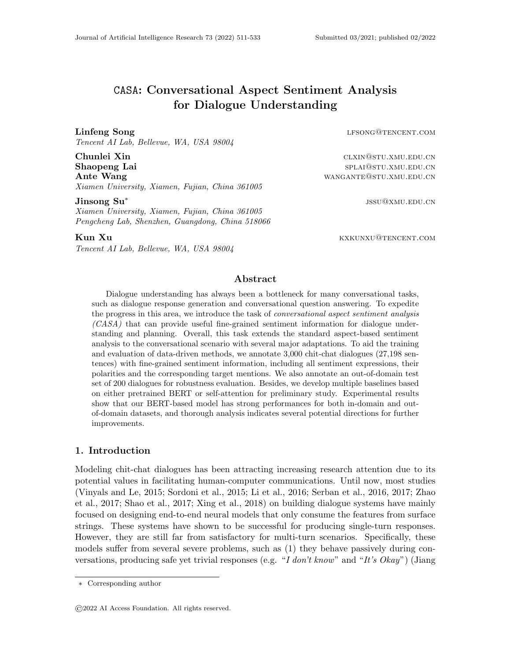# CASA: Conversational Aspect Sentiment Analysis for Dialogue Understanding

Tencent AI Lab, Bellevue, WA, USA 98004

Chunlei Xin class of the contract of the class of the class of the class of the class of the class of the class of the class of the class of the class of the class of the class of the class of the class of the class of the Shaopeng Lai splants and the splants of the splants splants splants splates and splants splates  $\mathbf{S}$ Ante Wang **and State Wang and State Wangante** WANGANTE@STU.XMU.EDU.CN Xiamen University, Xiamen, Fujian, China 361005

Jinsong Su<sup>∗</sup>

Xiamen University, Xiamen, Fujian, China 361005 Pengcheng Lab, Shenzhen, Guangdong, China 518066

Tencent AI Lab, Bellevue, WA, USA 98004

Linfeng Song and the compact of the compact of the compact of the compact of the compact of the compact of the compact of the compact of the compact of the compact of the compact of the compact of the compact of the compac

jssu@xmu.edu.cn

**Kun Xu** kxkUNXU@TENCENT.COM

# Abstract

Dialogue understanding has always been a bottleneck for many conversational tasks, such as dialogue response generation and conversational question answering. To expedite the progress in this area, we introduce the task of *conversational aspect sentiment analysis* (CASA) that can provide useful fine-grained sentiment information for dialogue understanding and planning. Overall, this task extends the standard aspect-based sentiment analysis to the conversational scenario with several major adaptations. To aid the training and evaluation of data-driven methods, we annotate 3,000 chit-chat dialogues (27,198 sentences) with fine-grained sentiment information, including all sentiment expressions, their polarities and the corresponding target mentions. We also annotate an out-of-domain test set of 200 dialogues for robustness evaluation. Besides, we develop multiple baselines based on either pretrained BERT or self-attention for preliminary study. Experimental results show that our BERT-based model has strong performances for both in-domain and outof-domain datasets, and thorough analysis indicates several potential directions for further improvements.

#### 1. Introduction

Modeling chit-chat dialogues has been attracting increasing research attention due to its potential values in facilitating human-computer communications. Until now, most studies (Vinyals and Le, 2015; Sordoni et al., 2015; Li et al., 2016; Serban et al., 2016, 2017; Zhao et al., 2017; Shao et al., 2017; Xing et al., 2018) on building dialogue systems have mainly focused on designing end-to-end neural models that only consume the features from surface strings. These systems have shown to be successful for producing single-turn responses. However, they are still far from satisfactory for multi-turn scenarios. Specifically, these models suffer from several severe problems, such as (1) they behave passively during conversations, producing safe yet trivial responses (e.g. "I don't know" and "It's Okay") (Jiang

<sup>∗</sup> Corresponding author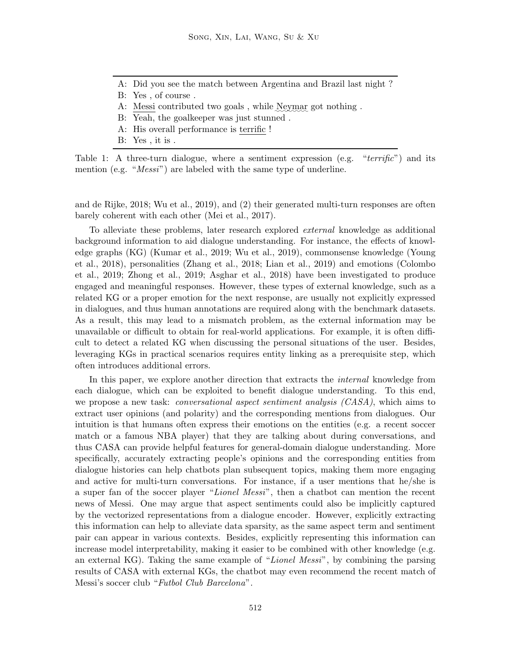- A: Did you see the match between Argentina and Brazil last night ?
- B: Yes , of course .
- A: Messi contributed two goals, while Neymar got nothing.
- B: Yeah, the goalkeeper was just stunned .
- A: His overall performance is terrific !
- B: Yes , it is .

Table 1: A three-turn dialogue, where a sentiment expression (e.g. " $terri\hat{f}ic$ ") and its mention (e.g. "*Messi*") are labeled with the same type of underline.

and de Rijke, 2018; Wu et al., 2019), and (2) their generated multi-turn responses are often barely coherent with each other (Mei et al., 2017).

To alleviate these problems, later research explored external knowledge as additional background information to aid dialogue understanding. For instance, the effects of knowledge graphs (KG) (Kumar et al., 2019; Wu et al., 2019), commonsense knowledge (Young et al., 2018), personalities (Zhang et al., 2018; Lian et al., 2019) and emotions (Colombo et al., 2019; Zhong et al., 2019; Asghar et al., 2018) have been investigated to produce engaged and meaningful responses. However, these types of external knowledge, such as a related KG or a proper emotion for the next response, are usually not explicitly expressed in dialogues, and thus human annotations are required along with the benchmark datasets. As a result, this may lead to a mismatch problem, as the external information may be unavailable or difficult to obtain for real-world applications. For example, it is often difficult to detect a related KG when discussing the personal situations of the user. Besides, leveraging KGs in practical scenarios requires entity linking as a prerequisite step, which often introduces additional errors.

In this paper, we explore another direction that extracts the internal knowledge from each dialogue, which can be exploited to benefit dialogue understanding. To this end, we propose a new task: *conversational aspect sentiment analysis (CASA)*, which aims to extract user opinions (and polarity) and the corresponding mentions from dialogues. Our intuition is that humans often express their emotions on the entities (e.g. a recent soccer match or a famous NBA player) that they are talking about during conversations, and thus CASA can provide helpful features for general-domain dialogue understanding. More specifically, accurately extracting people's opinions and the corresponding entities from dialogue histories can help chatbots plan subsequent topics, making them more engaging and active for multi-turn conversations. For instance, if a user mentions that he/she is a super fan of the soccer player "Lionel Messi", then a chatbot can mention the recent news of Messi. One may argue that aspect sentiments could also be implicitly captured by the vectorized representations from a dialogue encoder. However, explicitly extracting this information can help to alleviate data sparsity, as the same aspect term and sentiment pair can appear in various contexts. Besides, explicitly representing this information can increase model interpretability, making it easier to be combined with other knowledge (e.g. an external KG). Taking the same example of "Lionel Messi", by combining the parsing results of CASA with external KGs, the chatbot may even recommend the recent match of Messi's soccer club "Futbol Club Barcelona".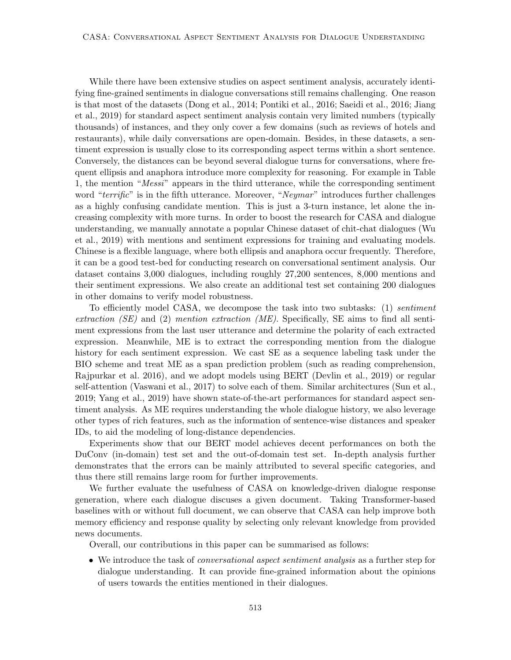While there have been extensive studies on aspect sentiment analysis, accurately identifying fine-grained sentiments in dialogue conversations still remains challenging. One reason is that most of the datasets (Dong et al., 2014; Pontiki et al., 2016; Saeidi et al., 2016; Jiang et al., 2019) for standard aspect sentiment analysis contain very limited numbers (typically thousands) of instances, and they only cover a few domains (such as reviews of hotels and restaurants), while daily conversations are open-domain. Besides, in these datasets, a sentiment expression is usually close to its corresponding aspect terms within a short sentence. Conversely, the distances can be beyond several dialogue turns for conversations, where frequent ellipsis and anaphora introduce more complexity for reasoning. For example in Table 1, the mention "Messi" appears in the third utterance, while the corresponding sentiment word "terrific" is in the fifth utterance. Moreover, "Neymar" introduces further challenges as a highly confusing candidate mention. This is just a 3-turn instance, let alone the increasing complexity with more turns. In order to boost the research for CASA and dialogue understanding, we manually annotate a popular Chinese dataset of chit-chat dialogues (Wu et al., 2019) with mentions and sentiment expressions for training and evaluating models. Chinese is a flexible language, where both ellipsis and anaphora occur frequently. Therefore, it can be a good test-bed for conducting research on conversational sentiment analysis. Our dataset contains 3,000 dialogues, including roughly 27,200 sentences, 8,000 mentions and their sentiment expressions. We also create an additional test set containing 200 dialogues in other domains to verify model robustness.

To efficiently model CASA, we decompose the task into two subtasks: (1) sentiment extraction (SE) and (2) mention extraction (ME). Specifically, SE aims to find all sentiment expressions from the last user utterance and determine the polarity of each extracted expression. Meanwhile, ME is to extract the corresponding mention from the dialogue history for each sentiment expression. We cast SE as a sequence labeling task under the BIO scheme and treat ME as a span prediction problem (such as reading comprehension, Rajpurkar et al. 2016), and we adopt models using BERT (Devlin et al., 2019) or regular self-attention (Vaswani et al., 2017) to solve each of them. Similar architectures (Sun et al., 2019; Yang et al., 2019) have shown state-of-the-art performances for standard aspect sentiment analysis. As ME requires understanding the whole dialogue history, we also leverage other types of rich features, such as the information of sentence-wise distances and speaker IDs, to aid the modeling of long-distance dependencies.

Experiments show that our BERT model achieves decent performances on both the DuConv (in-domain) test set and the out-of-domain test set. In-depth analysis further demonstrates that the errors can be mainly attributed to several specific categories, and thus there still remains large room for further improvements.

We further evaluate the usefulness of CASA on knowledge-driven dialogue response generation, where each dialogue discuses a given document. Taking Transformer-based baselines with or without full document, we can observe that CASA can help improve both memory efficiency and response quality by selecting only relevant knowledge from provided news documents.

Overall, our contributions in this paper can be summarised as follows:

• We introduce the task of conversational aspect sentiment analysis as a further step for dialogue understanding. It can provide fine-grained information about the opinions of users towards the entities mentioned in their dialogues.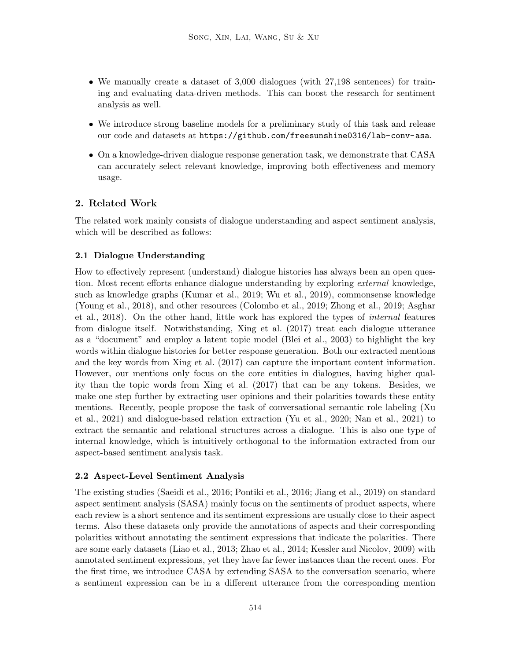- We manually create a dataset of 3,000 dialogues (with 27,198 sentences) for training and evaluating data-driven methods. This can boost the research for sentiment analysis as well.
- We introduce strong baseline models for a preliminary study of this task and release our code and datasets at https://github.com/freesunshine0316/lab-conv-asa.
- On a knowledge-driven dialogue response generation task, we demonstrate that CASA can accurately select relevant knowledge, improving both effectiveness and memory usage.

# 2. Related Work

The related work mainly consists of dialogue understanding and aspect sentiment analysis, which will be described as follows:

# 2.1 Dialogue Understanding

How to effectively represent (understand) dialogue histories has always been an open question. Most recent efforts enhance dialogue understanding by exploring *external* knowledge, such as knowledge graphs (Kumar et al., 2019; Wu et al., 2019), commonsense knowledge (Young et al., 2018), and other resources (Colombo et al., 2019; Zhong et al., 2019; Asghar et al., 2018). On the other hand, little work has explored the types of internal features from dialogue itself. Notwithstanding, Xing et al. (2017) treat each dialogue utterance as a "document" and employ a latent topic model (Blei et al., 2003) to highlight the key words within dialogue histories for better response generation. Both our extracted mentions and the key words from Xing et al. (2017) can capture the important content information. However, our mentions only focus on the core entities in dialogues, having higher quality than the topic words from Xing et al. (2017) that can be any tokens. Besides, we make one step further by extracting user opinions and their polarities towards these entity mentions. Recently, people propose the task of conversational semantic role labeling (Xu et al., 2021) and dialogue-based relation extraction (Yu et al., 2020; Nan et al., 2021) to extract the semantic and relational structures across a dialogue. This is also one type of internal knowledge, which is intuitively orthogonal to the information extracted from our aspect-based sentiment analysis task.

# 2.2 Aspect-Level Sentiment Analysis

The existing studies (Saeidi et al., 2016; Pontiki et al., 2016; Jiang et al., 2019) on standard aspect sentiment analysis (SASA) mainly focus on the sentiments of product aspects, where each review is a short sentence and its sentiment expressions are usually close to their aspect terms. Also these datasets only provide the annotations of aspects and their corresponding polarities without annotating the sentiment expressions that indicate the polarities. There are some early datasets (Liao et al., 2013; Zhao et al., 2014; Kessler and Nicolov, 2009) with annotated sentiment expressions, yet they have far fewer instances than the recent ones. For the first time, we introduce CASA by extending SASA to the conversation scenario, where a sentiment expression can be in a different utterance from the corresponding mention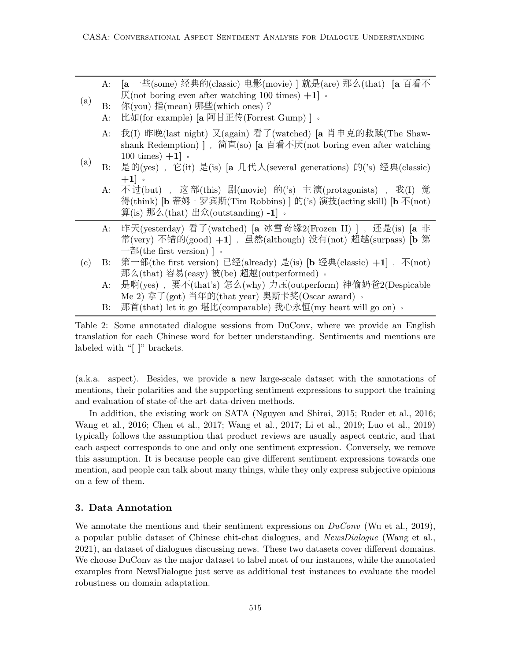|     | A:       | [a 一些(some) 经典的(classic) 电影(movie) ] 就是(are) 那么(that) [a 百看不                 |
|-----|----------|------------------------------------------------------------------------------|
| (a) |          | $\mathcal{F}(\text{not boring even after watching }100 \text{ times}) + 1$ . |
|     | $\rm B:$ | 你(you) 指(mean) 哪些(which ones)?                                               |
|     | $A$ :    | 比如(for example) [a 阿甘正传(Forrest Gump) ]。                                     |
|     | A:       | 我(I) 昨晚(last night) 又(again) 看了(watched) [a 肖申克的救赎(The Shaw-                 |
|     |          | shank Redemption) ], 简直(so) [a 百看不厌(not boring even after watching           |
| (a) |          | 100 times) $+1$ .                                                            |
|     | $\rm B:$ | 是的(yes), 它(it) 是(is) [a 几代人(several generations) 的('s) 经典(classic)           |
|     |          | $+1$ $\circ$                                                                 |
|     | A:       | 不过(but), 这部(this) 剧(movie) 的('s) 主演(protagonists), 我(I) 觉                    |
|     |          | 得(think) [b 蒂姆 · 罗宾斯(Tim Robbins) ] 的('s) 演技(acting skill) [b 不(not)         |
|     |          | 算(is) 那么(that) 出众(outstanding) -1] 。                                         |
|     |          | A: 昨天(yesterday) 看了(watched) [a 冰雪奇缘2(Frozen II) ], 还是(is) [a 非              |
|     |          | 常(very) 不错的(good) +1], 虽然(although) 没有(not) 超越(surpass) [b 第                 |
|     |          | 一部(the first version) ] $\circ$                                              |
| (c) | B:       | 第一部(the first version) 已经(already) 是(is) [b 经典(classic) +1], 不(not)          |
|     |          | 那么(that) 容易(easy) 被(be) 超越(outperformed) 。                                   |
|     | A:       | 是啊(yes), 要不(that's) 怎么(why) 力压(outperform) 神偷奶爸2(Despicable                  |
|     |          | Me 2) 拿了(got) 当年的(that year) 奥斯卡奖(Oscar award) 。                             |
|     | $\rm B:$ | 那首(that) let it go 堪比(comparable) 我心永恒(my heart will go on) 。                |

Table 2: Some annotated dialogue sessions from DuConv, where we provide an English translation for each Chinese word for better understanding. Sentiments and mentions are labeled with "[ ]" brackets.

(a.k.a. aspect). Besides, we provide a new large-scale dataset with the annotations of mentions, their polarities and the supporting sentiment expressions to support the training and evaluation of state-of-the-art data-driven methods.

In addition, the existing work on SATA (Nguyen and Shirai, 2015; Ruder et al., 2016; Wang et al., 2016; Chen et al., 2017; Wang et al., 2017; Li et al., 2019; Luo et al., 2019) typically follows the assumption that product reviews are usually aspect centric, and that each aspect corresponds to one and only one sentiment expression. Conversely, we remove this assumption. It is because people can give different sentiment expressions towards one mention, and people can talk about many things, while they only express subjective opinions on a few of them.

# 3. Data Annotation

We annotate the mentions and their sentiment expressions on  $DuConv$  (Wu et al., 2019), a popular public dataset of Chinese chit-chat dialogues, and NewsDialogue (Wang et al., 2021), an dataset of dialogues discussing news. These two datasets cover different domains. We choose DuConv as the major dataset to label most of our instances, while the annotated examples from NewsDialogue just serve as additional test instances to evaluate the model robustness on domain adaptation.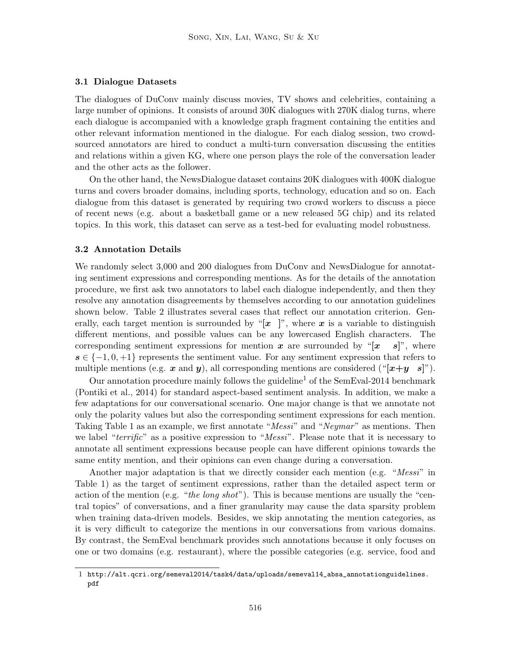#### 3.1 Dialogue Datasets

The dialogues of DuConv mainly discuss movies, TV shows and celebrities, containing a large number of opinions. It consists of around 30K dialogues with 270K dialog turns, where each dialogue is accompanied with a knowledge graph fragment containing the entities and other relevant information mentioned in the dialogue. For each dialog session, two crowdsourced annotators are hired to conduct a multi-turn conversation discussing the entities and relations within a given KG, where one person plays the role of the conversation leader and the other acts as the follower.

On the other hand, the NewsDialogue dataset contains 20K dialogues with 400K dialogue turns and covers broader domains, including sports, technology, education and so on. Each dialogue from this dataset is generated by requiring two crowd workers to discuss a piece of recent news (e.g. about a basketball game or a new released 5G chip) and its related topics. In this work, this dataset can serve as a test-bed for evaluating model robustness.

#### 3.2 Annotation Details

We randomly select 3,000 and 200 dialogues from DuConv and NewsDialogue for annotating sentiment expressions and corresponding mentions. As for the details of the annotation procedure, we first ask two annotators to label each dialogue independently, and then they resolve any annotation disagreements by themselves according to our annotation guidelines shown below. Table 2 illustrates several cases that reflect our annotation criterion. Generally, each target mention is surrounded by "[x ]", where x is a variable to distinguish different mentions, and possible values can be any lowercased English characters. The corresponding sentiment expressions for mention x are surrounded by "[ $x \ s$ ]", where  $s \in \{-1, 0, +1\}$  represents the sentiment value. For any sentiment expression that refers to multiple mentions (e.g. x and y), all corresponding mentions are considered (" $[x+y \; s]$ ").

Our annotation procedure mainly follows the guideline<sup>1</sup> of the SemEval-2014 benchmark (Pontiki et al., 2014) for standard aspect-based sentiment analysis. In addition, we make a few adaptations for our conversational scenario. One major change is that we annotate not only the polarity values but also the corresponding sentiment expressions for each mention. Taking Table 1 as an example, we first annotate "Messi" and "Neymar" as mentions. Then we label " $terri\hat{f}c$ " as a positive expression to " $Messi$ ". Please note that it is necessary to annotate all sentiment expressions because people can have different opinions towards the same entity mention, and their opinions can even change during a conversation.

Another major adaptation is that we directly consider each mention (e.g. "Messi" in Table 1) as the target of sentiment expressions, rather than the detailed aspect term or action of the mention (e.g. "the long shot"). This is because mentions are usually the "central topics" of conversations, and a finer granularity may cause the data sparsity problem when training data-driven models. Besides, we skip annotating the mention categories, as it is very difficult to categorize the mentions in our conversations from various domains. By contrast, the SemEval benchmark provides such annotations because it only focuses on one or two domains (e.g. restaurant), where the possible categories (e.g. service, food and

<sup>1</sup> http://alt.qcri.org/semeval2014/task4/data/uploads/semeval14\_absa\_annotationguidelines. pdf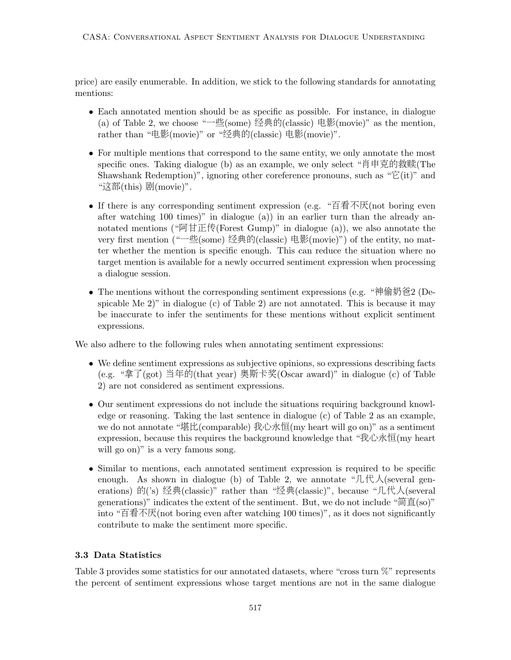price) are easily enumerable. In addition, we stick to the following standards for annotating mentions:

- Each annotated mention should be as specific as possible. For instance, in dialogue (a) of Table 2, we choose "一些(some) 经典的(classic) 电影(movie)" as the mention, rather than "电影(movie)" or "经典的(classic) 电影(movie)".
- For multiple mentions that correspond to the same entity, we only annotate the most specific ones. Taking dialogue (b) as an example, we only select "肖申克的救赎(The Shawshank Redemption)", ignoring other coreference pronouns, such as " $\vec{E}$ (it)" and "这部(this) 剧(movie)".
- If there is any corresponding sentiment expression (e.g. "百看不厌(not boring even after watching 100 times)" in dialogue (a)) in an earlier turn than the already annotated mentions ("阿甘正传(Forest Gump)" in dialogue (a)), we also annotate the very first mention ("一些(some) <sup>经</sup>典的(classic) 电影(movie)") of the entity, no matter whether the mention is specific enough. This can reduce the situation where no target mention is available for a newly occurred sentiment expression when processing a dialogue session.
- The mentions without the corresponding sentiment expressions (e.g. "神偷奶爸2 (Despicable Me 2)" in dialogue (c) of Table 2) are not annotated. This is because it may be inaccurate to infer the sentiments for these mentions without explicit sentiment expressions.

We also adhere to the following rules when annotating sentiment expressions:

- We define sentiment expressions as subjective opinions, so expressions describing facts (e.g. "拿了(got) 当年的(that year) 奥斯卡奖(Oscar award)" in dialogue (c) of Table 2) are not considered as sentiment expressions.
- Our sentiment expressions do not include the situations requiring background knowledge or reasoning. Taking the last sentence in dialogue (c) of Table 2 as an example, we do not annotate "堪比(comparable) 我心永恒(my heart will go on)" as a sentiment expression, because this requires the background knowledge that "我心永恒(my heart will go on)" is a very famous song.
- Similar to mentions, each annotated sentiment expression is required to be specific enough. As shown in dialogue (b) of Table 2, we annotate " $\mathcal{L}(\mathcal{H})$  (several generations) 的('s) 经典(classic)" rather than "经典(classic)", because "几代人(several generations)" indicates the extent of the sentiment. But, we do not include "简直(so)" into "百看不厌(not boring even after watching 100 times)", as it does not significantly contribute to make the sentiment more specific.

# 3.3 Data Statistics

Table 3 provides some statistics for our annotated datasets, where "cross turn %" represents the percent of sentiment expressions whose target mentions are not in the same dialogue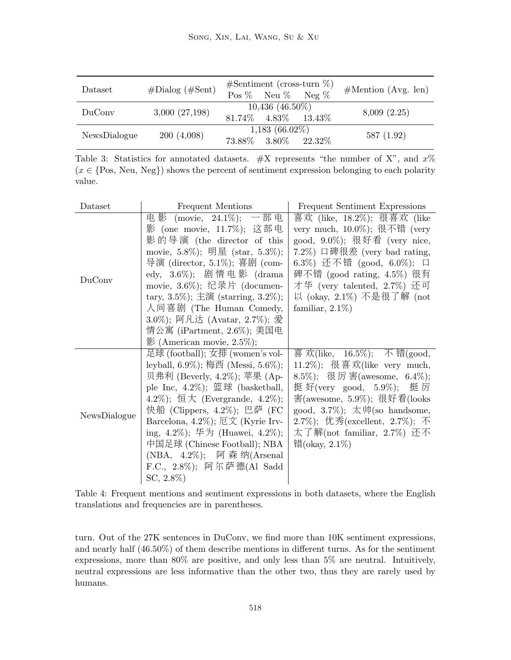| Dataset      | $# \text{Dialog} (\# \text{Sent})$ | $\#$ Sentiment (cross-turn $\%$ )<br>Pos % Neu % Neg % | #Mention (Avg. len) |
|--------------|------------------------------------|--------------------------------------------------------|---------------------|
| DuConv       | 3,000(27,198)                      | $10,436$ $(46.50\%)$<br>81.74\% 4.83\% 13.43\%         | 8,009(2.25)         |
| NewsDialogue | 200(4,008)                         | $1,183(66.02\%)$<br>73.88\% 3.80\% 22.32\%             | 587(1.92)           |

Table 3: Statistics for annotated datasets.  $\#X$  represents "the number of X", and  $x\%$  $(x \in \{Pos, Neu, Neg\})$  shows the percent of sentiment expression belonging to each polarity value.

| Dataset      | Frequent Mentions                     | Frequent Sentiment Expressions     |
|--------------|---------------------------------------|------------------------------------|
|              | 电影 (movie, 24.1%); 一部电                | 喜欢 (like, 18.2%); 很喜欢 (like        |
|              | 影 (one movie, 11.7%); 这部电             | very much, 10.0%); 很不错 (very       |
|              | 影的导演 (the director of this            | good, 9.0%); 很好看 (very nice,       |
|              | movie, 5.8%); 明星 (star, 5.3%);        | $(7.2\%)$ 口碑很差 (very bad rating,   |
|              | 导演 (director, 5.1%); 喜剧 (com-         | 6.3%) 还不错 (good, 6.0%); 口          |
| DuConv       | edy, $3.6\%$ ); 剧情电影 (drama           | 碑不错 (good rating, 4.5%) 很有         |
|              | movie, 3.6%); 纪录片 (documen-           | 才华 (very talented, 2.7%) 还可        |
|              | tary, 3.5%); 主演 (starring, 3.2%);     | 以 (okay, 2.1%) 不是很了解 (not          |
|              | 人间喜剧 (The Human Comedy,               | familiar, $2.1\%$ )                |
|              | 3.0%); 阿凡达 (Avatar, 2.7%); 爱          |                                    |
|              | 情公寓 (iPartment, 2.6%); 美国电            |                                    |
|              | $\frac{1}{2}$ (American movie, 2.5%); |                                    |
|              | 足球 (football); 女排 (women's vol-       | 喜 欢(like, 16.5%); 不 错(good,        |
|              | leyball, 6.9%); 梅西 (Messi, 5.6%);     | 11.2%); 很喜欢(like very much,        |
|              | 贝弗利 (Beverly, 4.2%); 苹果 (Ap-          | 8.5%); 很厉害(awesome, 6.4%);         |
|              | ple Inc, $4.2\%$ ); 篮球 (basketball,   | 挺 好(very good, 5.9%);<br>挺 厉       |
|              | $(4.2\%)$ ; 恒大 (Evergrande, 4.2%);    | 害(awesome, 5.9%); 很好看(looks        |
|              | 快船 (Clippers, 4.2%); 巴萨 (FC           | good, 3.7%); 太帅(so handsome,       |
| NewsDialogue | Barcelona, 4.2%); 厄文 (Kyrie Irv-      | $(2.7\%)$ ; 优秀(excellent, 2.7%); 不 |
|              | ing, 4.2%); 华为 (Huawei, 4.2%);        | 太了解(not familiar, 2.7%) 还不         |
|              | 中国足球 (Chinese Football); NBA          | 错(okay, $2.1\%$ )                  |
|              | (NBA, 4.2%); 阿森纳(Arsenal              |                                    |
|              | F.C., 2.8%); 阿尔萨德(Al Sadd             |                                    |
|              | $SC, 2.8\%)$                          |                                    |
|              |                                       |                                    |

Table 4: Frequent mentions and sentiment expressions in both datasets, where the English translations and frequencies are in parentheses.

turn. Out of the 27K sentences in DuConv, we find more than 10K sentiment expressions, and nearly half (46.50%) of them describe mentions in different turns. As for the sentiment expressions, more than 80% are positive, and only less than 5% are neutral. Intuitively, neutral expressions are less informative than the other two, thus they are rarely used by humans.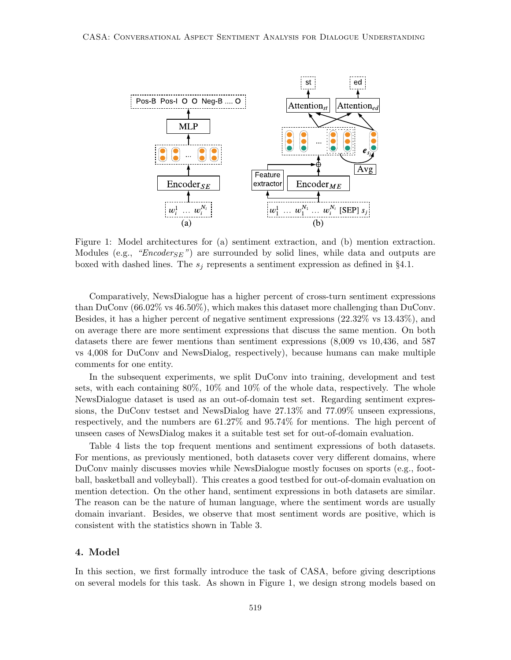

Figure 1: Model architectures for (a) sentiment extraction, and (b) mention extraction. Modules (e.g., " $Encoder_{SE}$ ") are surrounded by solid lines, while data and outputs are boxed with dashed lines. The  $s_j$  represents a sentiment expression as defined in §4.1.

Comparatively, NewsDialogue has a higher percent of cross-turn sentiment expressions than DuConv (66.02% vs 46.50%), which makes this dataset more challenging than DuConv. Besides, it has a higher percent of negative sentiment expressions (22.32% vs 13.43%), and on average there are more sentiment expressions that discuss the same mention. On both datasets there are fewer mentions than sentiment expressions (8,009 vs 10,436, and 587 vs 4,008 for DuConv and NewsDialog, respectively), because humans can make multiple comments for one entity.

In the subsequent experiments, we split DuConv into training, development and test sets, with each containing 80%, 10% and 10% of the whole data, respectively. The whole NewsDialogue dataset is used as an out-of-domain test set. Regarding sentiment expressions, the DuConv testset and NewsDialog have 27.13% and 77.09% unseen expressions, respectively, and the numbers are 61.27% and 95.74% for mentions. The high percent of unseen cases of NewsDialog makes it a suitable test set for out-of-domain evaluation.

Table 4 lists the top frequent mentions and sentiment expressions of both datasets. For mentions, as previously mentioned, both datasets cover very different domains, where DuConv mainly discusses movies while NewsDialogue mostly focuses on sports (e.g., football, basketball and volleyball). This creates a good testbed for out-of-domain evaluation on mention detection. On the other hand, sentiment expressions in both datasets are similar. The reason can be the nature of human language, where the sentiment words are usually domain invariant. Besides, we observe that most sentiment words are positive, which is consistent with the statistics shown in Table 3.

### 4. Model

In this section, we first formally introduce the task of CASA, before giving descriptions on several models for this task. As shown in Figure 1, we design strong models based on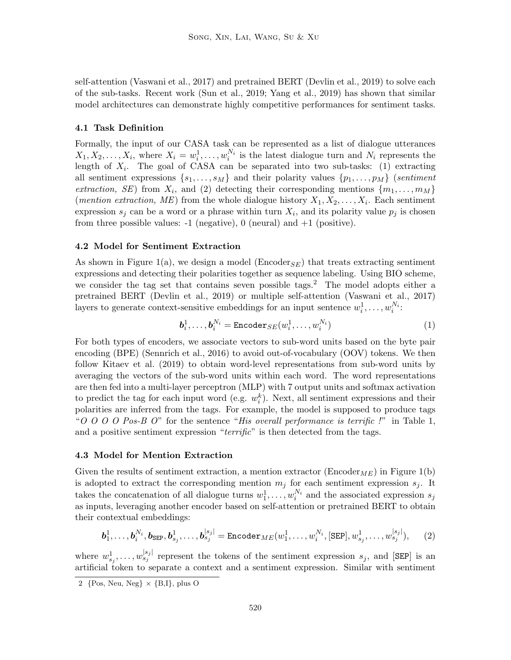self-attention (Vaswani et al., 2017) and pretrained BERT (Devlin et al., 2019) to solve each of the sub-tasks. Recent work (Sun et al., 2019; Yang et al., 2019) has shown that similar model architectures can demonstrate highly competitive performances for sentiment tasks.

### 4.1 Task Definition

Formally, the input of our CASA task can be represented as a list of dialogue utterances  $X_1, X_2, \ldots, X_i$ , where  $X_i = w_i^1, \ldots, w_i^{N_i}$  is the latest dialogue turn and  $N_i$  represents the length of  $X_i$ . The goal of CASA can be separated into two sub-tasks: (1) extracting all sentiment expressions  $\{s_1, \ldots, s_M\}$  and their polarity values  $\{p_1, \ldots, p_M\}$  (sentiment extraction, SE) from  $X_i$ , and (2) detecting their corresponding mentions  $\{m_1, \ldots, m_M\}$ (*mention extraction*, *ME*) from the whole dialogue history  $X_1, X_2, \ldots, X_i$ . Each sentiment expression  $s_j$  can be a word or a phrase within turn  $X_i$ , and its polarity value  $p_j$  is chosen from three possible values:  $-1$  (negative), 0 (neural) and  $+1$  (positive).

#### 4.2 Model for Sentiment Extraction

As shown in Figure 1(a), we design a model (Encoder<sub>SE</sub>) that treats extracting sentiment expressions and detecting their polarities together as sequence labeling. Using BIO scheme, we consider the tag set that contains seven possible tags.<sup>2</sup> The model adopts either a pretrained BERT (Devlin et al., 2019) or multiple self-attention (Vaswani et al., 2017) layers to generate context-sensitive embeddings for an input sentence  $w_i^1, \ldots, w_i^{N_i}$ :

$$
\boldsymbol{b}_i^1, \dots, \boldsymbol{b}_i^{N_i} = \text{Encoder}_{SE}(w_i^1, \dots, w_i^{N_i})
$$
\n
$$
(1)
$$

For both types of encoders, we associate vectors to sub-word units based on the byte pair encoding (BPE) (Sennrich et al., 2016) to avoid out-of-vocabulary (OOV) tokens. We then follow Kitaev et al. (2019) to obtain word-level representations from sub-word units by averaging the vectors of the sub-word units within each word. The word representations are then fed into a multi-layer perceptron (MLP) with 7 output units and softmax activation to predict the tag for each input word (e.g.  $w_i^k$ ). Next, all sentiment expressions and their polarities are inferred from the tags. For example, the model is supposed to produce tags "O O O O Pos-B O" for the sentence "His overall performance is terrific !" in Table 1, and a positive sentiment expression "terrific" is then detected from the tags.

#### 4.3 Model for Mention Extraction

Given the results of sentiment extraction, a mention extractor (Encoder<sub>ME</sub>) in Figure 1(b) is adopted to extract the corresponding mention  $m_j$  for each sentiment expression  $s_j$ . It takes the concatenation of all dialogue turns  $w_1^1, \ldots, w_i^{N_i}$  and the associated expression  $s_j$ as inputs, leveraging another encoder based on self-attention or pretrained BERT to obtain their contextual embeddings:

$$
\boldsymbol{b}_1^1, \ldots, \boldsymbol{b}_i^{N_i}, \boldsymbol{b}_{\text{SEP}}, \boldsymbol{b}_{s_j}^1, \ldots, \boldsymbol{b}_{s_j}^{|s_j|} = \text{Encoder}_{ME}(w_1^1, \ldots, w_i^{N_i}, [\text{SEP}], w_{s_j}^1, \ldots, w_{s_j}^{|s_j|}), \qquad (2)
$$

where  $w_{s_j}^1, \ldots, w_{s_j}^{|s_j|}$  represent the tokens of the sentiment expression  $s_j$ , and [SEP] is an artificial token to separate a context and a sentiment expression. Similar with sentiment

<sup>2</sup>  ${Pos, Neu, Neg} \times {B,I}, plus O$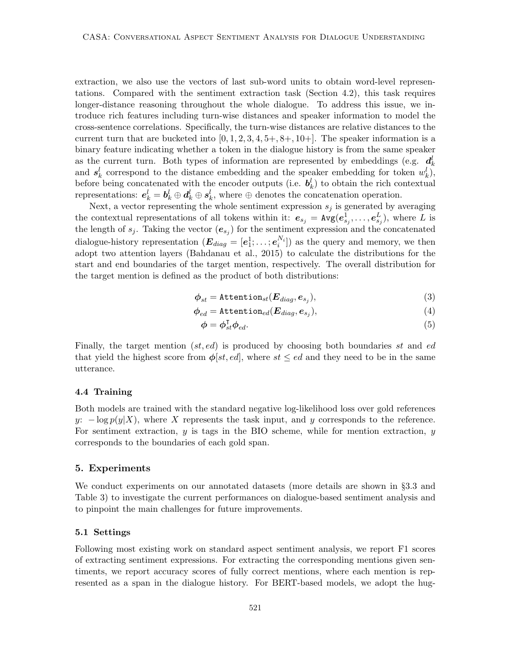extraction, we also use the vectors of last sub-word units to obtain word-level representations. Compared with the sentiment extraction task (Section 4.2), this task requires longer-distance reasoning throughout the whole dialogue. To address this issue, we introduce rich features including turn-wise distances and speaker information to model the cross-sentence correlations. Specifically, the turn-wise distances are relative distances to the current turn that are bucketed into  $[0, 1, 2, 3, 4, 5+, 8+, 10+]$ . The speaker information is a binary feature indicating whether a token in the dialogue history is from the same speaker as the current turn. Both types of information are represented by embeddings (e.g.  $d_k^l$ and  $s_k^l$  correspond to the distance embedding and the speaker embedding for token  $w_k^l$ , before being concatenated with the encoder outputs (i.e.  $b_k^l$ ) to obtain the rich contextual representations:  $e_k^l = b_k^l \oplus d_k^l \oplus s_k^l$ , where  $\oplus$  denotes the concatenation operation.

Next, a vector representing the whole sentiment expression  $s_j$  is generated by averaging the contextual representations of all tokens within it:  $e_{s_j} = \text{Avg}(e_{s_j}^1, \ldots, e_{s_j}^L)$ , where L is the length of  $s_j$ . Taking the vector  $(e_{s_j})$  for the sentiment expression and the concatenated dialogue-history representation  $(\mathbf{E}_{diag} = [\mathbf{e}_1^1; \dots; \mathbf{e}_i^{N_i}])$  as the query and memory, we then adopt two attention layers (Bahdanau et al., 2015) to calculate the distributions for the start and end boundaries of the target mention, respectively. The overall distribution for the target mention is defined as the product of both distributions:

$$
\boldsymbol{\phi}_{st} = \texttt{Attention}_{st}(\boldsymbol{E}_{diag}, \boldsymbol{e}_{s_j}),\tag{3}
$$

$$
\boldsymbol{\phi}_{ed} = \texttt{Attention}_{ed}(\boldsymbol{E}_{diag}, \boldsymbol{e}_{s_j}),\tag{4}
$$

$$
\phi = \phi_{st}^{\mathsf{T}} \phi_{ed}.\tag{5}
$$

Finally, the target mention  $(st, ed)$  is produced by choosing both boundaries st and ed that yield the highest score from  $\phi[st, ed]$ , where  $st \leq ed$  and they need to be in the same utterance.

#### 4.4 Training

Both models are trained with the standard negative log-likelihood loss over gold references y:  $-\log p(y|X)$ , where X represents the task input, and y corresponds to the reference. For sentiment extraction,  $y$  is tags in the BIO scheme, while for mention extraction,  $y$ corresponds to the boundaries of each gold span.

#### 5. Experiments

We conduct experiments on our annotated datasets (more details are shown in §3.3 and Table 3) to investigate the current performances on dialogue-based sentiment analysis and to pinpoint the main challenges for future improvements.

#### 5.1 Settings

Following most existing work on standard aspect sentiment analysis, we report F1 scores of extracting sentiment expressions. For extracting the corresponding mentions given sentiments, we report accuracy scores of fully correct mentions, where each mention is represented as a span in the dialogue history. For BERT-based models, we adopt the hug-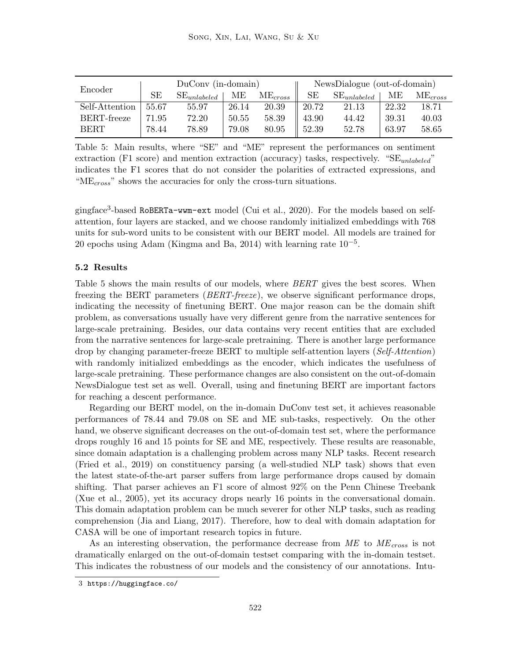|                | $DuConv$ (in-domain) |                  |       |                     | NewsDialogue (out-of-domain) |                  |       |              |
|----------------|----------------------|------------------|-------|---------------------|------------------------------|------------------|-------|--------------|
| Encoder        | <b>SE</b>            | $SE_{unlabeled}$ | MЕ    | ME <sub>cross</sub> | SЕ                           | $SE_{unlabeled}$ | МE    | $ME_{cross}$ |
| Self-Attention | 55.67                | 55.97            | 26.14 | 20.39               | 20.72                        | 21.13            | 22.32 | 18.71        |
| BERT-freeze    | 71.95                | 72.20            | 50.55 | 58.39               | 43.90                        | 44.42            | 39.31 | 40.03        |
| <b>BERT</b>    | 78.44                | 78.89            | 79.08 | 80.95               | $\parallel$ 52.39            | 52.78            | 63.97 | 58.65        |

Table 5: Main results, where "SE" and "ME" represent the performances on sentiment extraction (F1 score) and mention extraction (accuracy) tasks, respectively. " $SE_{unlabeled}$ " indicates the F1 scores that do not consider the polarities of extracted expressions, and " $ME<sub>cross</sub>$ " shows the accuracies for only the cross-turn situations.

gingface<sup>3</sup> -based RoBERTa-wwm-ext model (Cui et al., 2020). For the models based on selfattention, four layers are stacked, and we choose randomly initialized embeddings with 768 units for sub-word units to be consistent with our BERT model. All models are trained for 20 epochs using Adam (Kingma and Ba, 2014) with learning rate  $10^{-5}$ .

#### 5.2 Results

Table 5 shows the main results of our models, where *BERT* gives the best scores. When freezing the BERT parameters *(BERT-freeze)*, we observe significant performance drops, indicating the necessity of finetuning BERT. One major reason can be the domain shift problem, as conversations usually have very different genre from the narrative sentences for large-scale pretraining. Besides, our data contains very recent entities that are excluded from the narrative sentences for large-scale pretraining. There is another large performance drop by changing parameter-freeze BERT to multiple self-attention layers (Self-Attention) with randomly initialized embeddings as the encoder, which indicates the usefulness of large-scale pretraining. These performance changes are also consistent on the out-of-domain NewsDialogue test set as well. Overall, using and finetuning BERT are important factors for reaching a descent performance.

Regarding our BERT model, on the in-domain DuConv test set, it achieves reasonable performances of 78.44 and 79.08 on SE and ME sub-tasks, respectively. On the other hand, we observe significant decreases on the out-of-domain test set, where the performance drops roughly 16 and 15 points for SE and ME, respectively. These results are reasonable, since domain adaptation is a challenging problem across many NLP tasks. Recent research (Fried et al., 2019) on constituency parsing (a well-studied NLP task) shows that even the latest state-of-the-art parser suffers from large performance drops caused by domain shifting. That parser achieves an F1 score of almost 92% on the Penn Chinese Treebank (Xue et al., 2005), yet its accuracy drops nearly 16 points in the conversational domain. This domain adaptation problem can be much severer for other NLP tasks, such as reading comprehension (Jia and Liang, 2017). Therefore, how to deal with domain adaptation for CASA will be one of important research topics in future.

As an interesting observation, the performance decrease from  $ME$  to  $ME<sub>cross</sub>$  is not dramatically enlarged on the out-of-domain testset comparing with the in-domain testset. This indicates the robustness of our models and the consistency of our annotations. Intu-

<sup>3</sup> https://huggingface.co/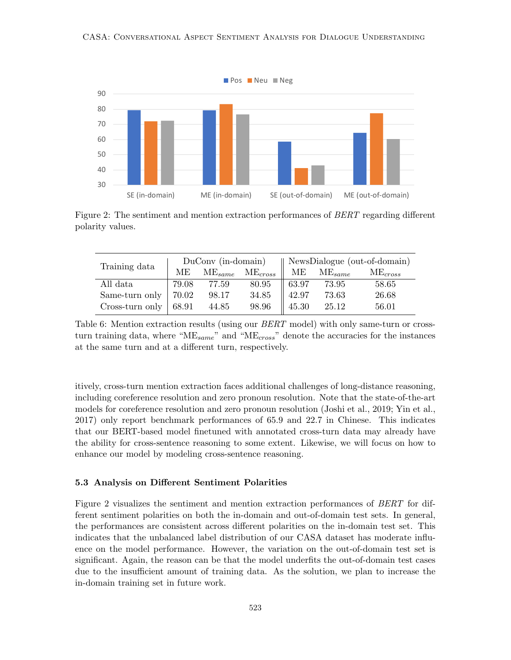

Figure 2: The sentiment and mention extraction performances of *BERT* regarding different polarity values.

|                           |       |             |              | DuConv (in-domain)    NewsDialogue (out-of-domain) |             |              |
|---------------------------|-------|-------------|--------------|----------------------------------------------------|-------------|--------------|
| Training data             | MЕ    | $ME_{same}$ | $ME_{cross}$ | MЕ                                                 | $ME_{same}$ | $ME_{cross}$ |
| All data                  | 79.08 | 77.59       | 80.95        | $\parallel$ 63.97                                  | 73.95       | 58.65        |
| Same-turn only   $70.02$  |       | 98.17       | 34.85        | $42.97$                                            | 73.63       | 26.68        |
| Cross-turn only   $68.91$ |       | 44.85       | 98.96        | $\parallel$ 45.30                                  | 25.12       | 56.01        |

Table 6: Mention extraction results (using our *BERT* model) with only same-turn or crossturn training data, where " $ME_{same}$ " and " $ME_{cross}$ " denote the accuracies for the instances at the same turn and at a different turn, respectively.

itively, cross-turn mention extraction faces additional challenges of long-distance reasoning, including coreference resolution and zero pronoun resolution. Note that the state-of-the-art models for coreference resolution and zero pronoun resolution (Joshi et al., 2019; Yin et al., 2017) only report benchmark performances of 65.9 and 22.7 in Chinese. This indicates that our BERT-based model finetuned with annotated cross-turn data may already have the ability for cross-sentence reasoning to some extent. Likewise, we will focus on how to enhance our model by modeling cross-sentence reasoning.

#### 5.3 Analysis on Different Sentiment Polarities

Figure 2 visualizes the sentiment and mention extraction performances of BERT for different sentiment polarities on both the in-domain and out-of-domain test sets. In general, the performances are consistent across different polarities on the in-domain test set. This indicates that the unbalanced label distribution of our CASA dataset has moderate influence on the model performance. However, the variation on the out-of-domain test set is significant. Again, the reason can be that the model underfits the out-of-domain test cases due to the insufficient amount of training data. As the solution, we plan to increase the in-domain training set in future work.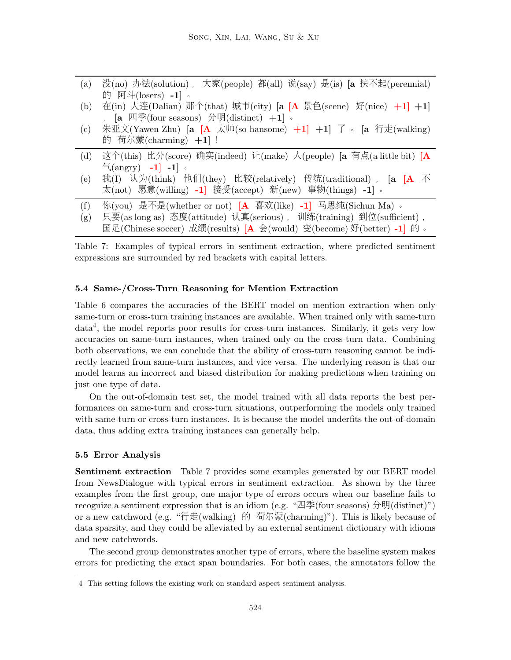| (a) | 没(no) 办法(solution), 大家(people) 都(all) 说(say) 是(is) [a 扶不起(perennial)   |
|-----|------------------------------------------------------------------------|
|     | 的 阿斗(losers) -1]。                                                      |
| (b) | 在(in) 大连(Dalian) 那个(that) 城市(city) [a [A 景色(scene) 好(nice) +1] +1]     |
|     | , $[a \ \mathbb{Z} \neq (four\ seasons) \ \mathcal{H}(distinct) +1]$ . |
| (c) | 朱亚文(Yawen Zhu) [a [A 太帅(so hansome) +1] +1] 了 。 [a 行走(walking)         |
|     | 的 荷尔蒙(charming) $+1$ ] !                                               |
| (d) | 这个(this) 比分(score) 确实(indeed) 让(make) 人(people) [a 有点(a little bit) [A |
|     | $\frac{1}{2}$ (angry) -1 -1 -1                                         |
| (e) | 我(I) 认为(think) 他们(they) 比较(relatively) 传统(traditional), [a [A 不        |
|     | 太(not) 愿意(willing) -1] 接受(accept) 新(new) 事物(things) -1]。               |
| (f) | 你(you) 是不是(whether or not) [A 喜欢(like) -1] 马思纯(Sichun Ma) 。            |
| (g) | 只要(as long as) 态度(attitude) 认真(serious), 训练(training) 到位(sufficient),  |
|     | 国足(Chinese soccer) 成绩(results) [A 会(would) 变(become) 好(better) -1] 的。  |
|     |                                                                        |

Table 7: Examples of typical errors in sentiment extraction, where predicted sentiment expressions are surrounded by red brackets with capital letters.

# 5.4 Same-/Cross-Turn Reasoning for Mention Extraction

Table 6 compares the accuracies of the BERT model on mention extraction when only same-turn or cross-turn training instances are available. When trained only with same-turn data<sup>4</sup> , the model reports poor results for cross-turn instances. Similarly, it gets very low accuracies on same-turn instances, when trained only on the cross-turn data. Combining both observations, we can conclude that the ability of cross-turn reasoning cannot be indirectly learned from same-turn instances, and vice versa. The underlying reason is that our model learns an incorrect and biased distribution for making predictions when training on just one type of data.

On the out-of-domain test set, the model trained with all data reports the best performances on same-turn and cross-turn situations, outperforming the models only trained with same-turn or cross-turn instances. It is because the model underfits the out-of-domain data, thus adding extra training instances can generally help.

#### 5.5 Error Analysis

Sentiment extraction Table 7 provides some examples generated by our BERT model from NewsDialogue with typical errors in sentiment extraction. As shown by the three examples from the first group, one major type of errors occurs when our baseline fails to recognize a sentiment expression that is an idiom (e.g. "四季(four seasons) 分明(distinct)") or a new catchword (e.g. "行走(walking) 的 荷尔蒙(charming)"). This is likely because of data sparsity, and they could be alleviated by an external sentiment dictionary with idioms and new catchwords.

The second group demonstrates another type of errors, where the baseline system makes errors for predicting the exact span boundaries. For both cases, the annotators follow the

<sup>4</sup> This setting follows the existing work on standard aspect sentiment analysis.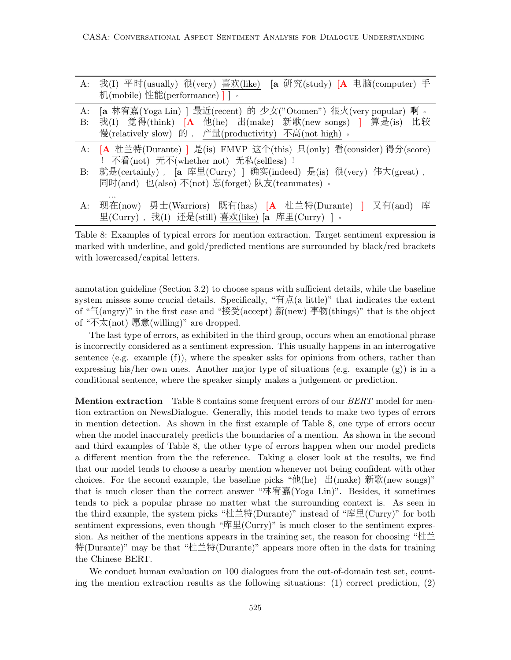| A:              | 我(I) 平时(usually) 很(very) 喜欢(like)<br>[a 研究(study) $[A \oplus \mathbb{R}]$ (computer) 手<br>机(mobile) 性能(performance) ] ]。                                                                 |
|-----------------|------------------------------------------------------------------------------------------------------------------------------------------------------------------------------------------|
| A:<br>$\rm B$ : | [a 林宥嘉(Yoga Lin) ] 最近(recent) 的 少女("Otomen") 很火(very popular)<br>啊。<br>我(I) 觉得(think) [A 他(he) 出(make) 新歌(new songs) ] 算是(is) 比较<br>慢(relatively slow) 的, 产量(productivity) 不高(not high)。 |
|                 | A: [A 杜兰特(Durante) ] 是(is) FMVP 这个(this) 只(only) 看(consider) 得分(score)<br>! 不看(not) 无不(whether not) 无私(selfless) !                                                                       |
| $\rm B$ :       | 就是(certainly), [a 库里(Curry)] 确实(indeed) 是(is) 很(very) 伟大(great),<br>同时(and) 也(also) 不(not) 忘(forget) 队友(teammates) 。                                                                     |
| A:              | 现在(now) 勇士(Warriors) 既有(has) [A 杜兰特(Durante) ] 又有(and) 库<br>里(Curry), 我(I) 还是(still) 喜欢(like) [a 库里(Curry) ]。                                                                            |
|                 |                                                                                                                                                                                          |

Table 8: Examples of typical errors for mention extraction. Target sentiment expression is marked with underline, and gold/predicted mentions are surrounded by black/red brackets with lowercased/capital letters.

annotation guideline (Section 3.2) to choose spans with sufficient details, while the baseline system misses some crucial details. Specifically, "有点(a little)" that indicates the extent of "气(angry)" in the first case and "接受(accept) 新(new) 事物(things)" that is the object of "不太(not) 愿意(willing)" are dropped.

The last type of errors, as exhibited in the third group, occurs when an emotional phrase is incorrectly considered as a sentiment expression. This usually happens in an interrogative sentence (e.g. example (f)), where the speaker asks for opinions from others, rather than expressing his/her own ones. Another major type of situations (e.g. example (g)) is in a conditional sentence, where the speaker simply makes a judgement or prediction.

**Mention extraction** Table 8 contains some frequent errors of our *BERT* model for mention extraction on NewsDialogue. Generally, this model tends to make two types of errors in mention detection. As shown in the first example of Table 8, one type of errors occur when the model inaccurately predicts the boundaries of a mention. As shown in the second and third examples of Table 8, the other type of errors happen when our model predicts a different mention from the the reference. Taking a closer look at the results, we find that our model tends to choose a nearby mention whenever not being confident with other choices. For the second example, the baseline picks "他(he) 出(make) 新歌(new songs)" that is much closer than the correct answer "林宥嘉(Yoga Lin)". Besides, it sometimes tends to pick a popular phrase no matter what the surrounding context is. As seen in the third example, the system picks "杜兰特(Durante)" instead of "库里(Curry)" for both sentiment expressions, even though "库里(Curry)" is much closer to the sentiment expression. As neither of the mentions appears in the training set, the reason for choosing " $\pm \equiv$ 特(Durante)" may be that "杜兰特(Durante)" appears more often in the data for training the Chinese BERT.

We conduct human evaluation on 100 dialogues from the out-of-domain test set, counting the mention extraction results as the following situations:  $(1)$  correct prediction,  $(2)$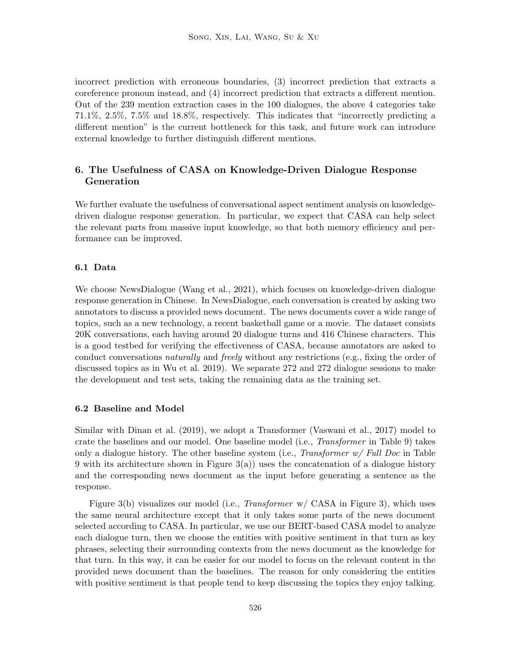incorrect prediction with erroneous boundaries, (3) incorrect prediction that extracts a coreference pronoun instead, and (4) incorrect prediction that extracts a different mention. Out of the 239 mention extraction cases in the 100 dialogues, the above 4 categories take 71.1%, 2.5%, 7.5% and 18.8%, respectively. This indicates that "incorrectly predicting a different mention" is the current bottleneck for this task, and future work can introduce external knowledge to further distinguish different mentions.

# 6. The Usefulness of CASA on Knowledge-Driven Dialogue Response Generation

We further evaluate the usefulness of conversational aspect sentiment analysis on knowledgedriven dialogue response generation. In particular, we expect that CASA can help select the relevant parts from massive input knowledge, so that both memory efficiency and performance can be improved.

#### 6.1 Data

We choose NewsDialogue (Wang et al., 2021), which focuses on knowledge-driven dialogue response generation in Chinese. In NewsDialogue, each conversation is created by asking two annotators to discuss a provided news document. The news documents cover a wide range of topics, such as a new technology, a recent basketball game or a movie. The dataset consists 20K conversations, each having around 20 dialogue turns and 416 Chinese characters. This is a good testbed for verifying the effectiveness of CASA, because annotators are asked to conduct conversations *naturally* and *freely* without any restrictions (e.g., fixing the order of discussed topics as in Wu et al. 2019). We separate 272 and 272 dialogue sessions to make the development and test sets, taking the remaining data as the training set.

#### 6.2 Baseline and Model

Similar with Dinan et al. (2019), we adopt a Transformer (Vaswani et al., 2017) model to crate the baselines and our model. One baseline model (i.e., Transformer in Table 9) takes only a dialogue history. The other baseline system (i.e., Transformer  $w$  Full Doc in Table 9 with its architecture shown in Figure  $3(a)$ ) uses the concatenation of a dialogue history and the corresponding news document as the input before generating a sentence as the response.

Figure 3(b) visualizes our model (i.e., *Transformer* w/ CASA in Figure 3), which uses the same neural architecture except that it only takes some parts of the news document selected according to CASA. In particular, we use our BERT-based CASA model to analyze each dialogue turn, then we choose the entities with positive sentiment in that turn as key phrases, selecting their surrounding contexts from the news document as the knowledge for that turn. In this way, it can be easier for our model to focus on the relevant content in the provided news document than the baselines. The reason for only considering the entities with positive sentiment is that people tend to keep discussing the topics they enjoy talking.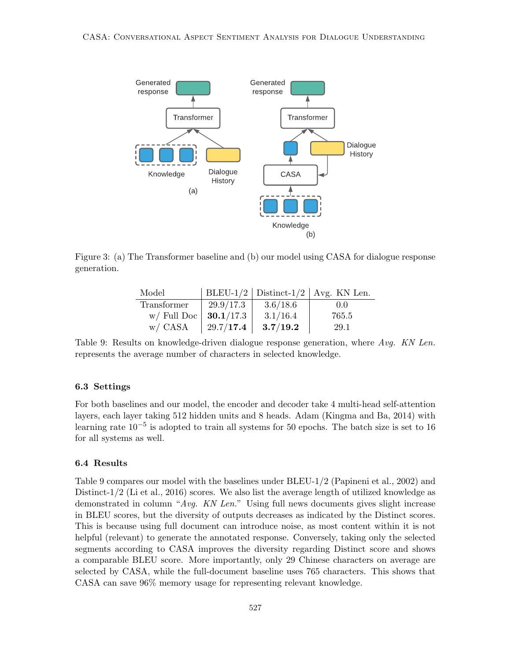

Figure 3: (a) The Transformer baseline and (b) our model using CASA for dialogue response generation.

| Model                           |             |          | BLEU-1/2   Distinct-1/2   Avg. KN Len. |
|---------------------------------|-------------|----------|----------------------------------------|
| Transformer                     | $29.9/17.3$ | 3.6/18.6 | 0.0                                    |
| w/ Full Doc   <b>30.1</b> /17.3 |             | 3.1/16.4 | 765.5                                  |
| w/ CASA                         | 29.7/17.4   | 3.7/19.2 | 29.1                                   |

Table 9: Results on knowledge-driven dialogue response generation, where Avg. KN Len. represents the average number of characters in selected knowledge.

#### 6.3 Settings

For both baselines and our model, the encoder and decoder take 4 multi-head self-attention layers, each layer taking 512 hidden units and 8 heads. Adam (Kingma and Ba, 2014) with learning rate  $10^{-5}$  is adopted to train all systems for 50 epochs. The batch size is set to 16 for all systems as well.

# 6.4 Results

Table 9 compares our model with the baselines under BLEU-1/2 (Papineni et al., 2002) and Distinct-1/2 (Li et al., 2016) scores. We also list the average length of utilized knowledge as demonstrated in column "Avg. KN Len." Using full news documents gives slight increase in BLEU scores, but the diversity of outputs decreases as indicated by the Distinct scores. This is because using full document can introduce noise, as most content within it is not helpful (relevant) to generate the annotated response. Conversely, taking only the selected segments according to CASA improves the diversity regarding Distinct score and shows a comparable BLEU score. More importantly, only 29 Chinese characters on average are selected by CASA, while the full-document baseline uses 765 characters. This shows that CASA can save 96% memory usage for representing relevant knowledge.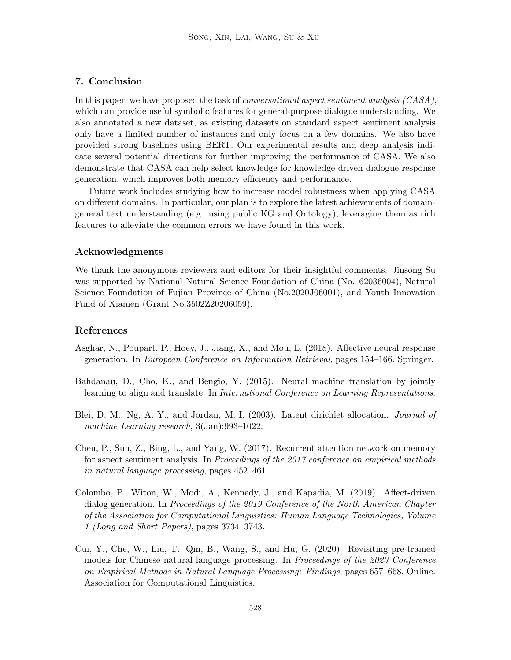# 7. Conclusion

In this paper, we have proposed the task of *conversational aspect sentiment analysis*  $(CASA)$ , which can provide useful symbolic features for general-purpose dialogue understanding. We also annotated a new dataset, as existing datasets on standard aspect sentiment analysis only have a limited number of instances and only focus on a few domains. We also have provided strong baselines using BERT. Our experimental results and deep analysis indicate several potential directions for further improving the performance of CASA. We also demonstrate that CASA can help select knowledge for knowledge-driven dialogue response generation, which improves both memory efficiency and performance.

Future work includes studying how to increase model robustness when applying CASA on different domains. In particular, our plan is to explore the latest achievements of domaingeneral text understanding (e.g. using public KG and Ontology), leveraging them as rich features to alleviate the common errors we have found in this work.

#### Acknowledgments

We thank the anonymous reviewers and editors for their insightful comments. Jinsong Su was supported by National Natural Science Foundation of China (No. 62036004), Natural Science Foundation of Fujian Province of China (No.2020J06001), and Youth Innovation Fund of Xiamen (Grant No.3502Z20206059).

# References

- Asghar, N., Poupart, P., Hoey, J., Jiang, X., and Mou, L. (2018). Affective neural response generation. In European Conference on Information Retrieval, pages 154–166. Springer.
- Bahdanau, D., Cho, K., and Bengio, Y. (2015). Neural machine translation by jointly learning to align and translate. In International Conference on Learning Representations.
- Blei, D. M., Ng, A. Y., and Jordan, M. I. (2003). Latent dirichlet allocation. Journal of machine Learning research, 3(Jan):993–1022.
- Chen, P., Sun, Z., Bing, L., and Yang, W. (2017). Recurrent attention network on memory for aspect sentiment analysis. In Proceedings of the 2017 conference on empirical methods in natural language processing, pages 452–461.
- Colombo, P., Witon, W., Modi, A., Kennedy, J., and Kapadia, M. (2019). Affect-driven dialog generation. In Proceedings of the 2019 Conference of the North American Chapter of the Association for Computational Linguistics: Human Language Technologies, Volume 1 (Long and Short Papers), pages 3734–3743.
- Cui, Y., Che, W., Liu, T., Qin, B., Wang, S., and Hu, G. (2020). Revisiting pre-trained models for Chinese natural language processing. In Proceedings of the 2020 Conference on Empirical Methods in Natural Language Processing: Findings, pages 657–668, Online. Association for Computational Linguistics.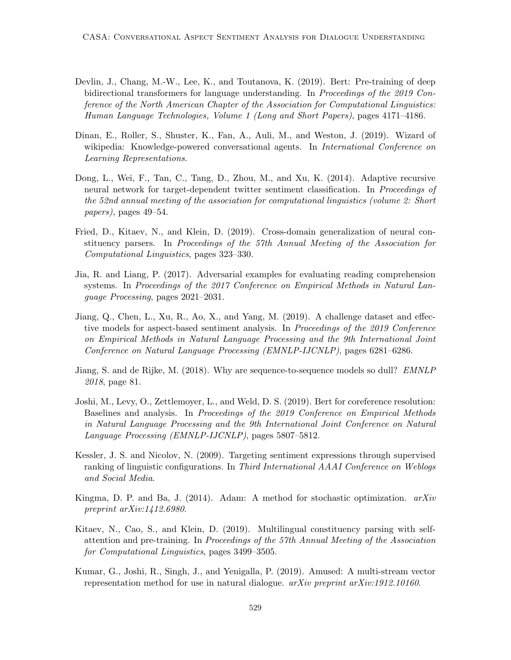- Devlin, J., Chang, M.-W., Lee, K., and Toutanova, K. (2019). Bert: Pre-training of deep bidirectional transformers for language understanding. In Proceedings of the 2019 Conference of the North American Chapter of the Association for Computational Linguistics: Human Language Technologies, Volume 1 (Long and Short Papers), pages 4171–4186.
- Dinan, E., Roller, S., Shuster, K., Fan, A., Auli, M., and Weston, J. (2019). Wizard of wikipedia: Knowledge-powered conversational agents. In *International Conference on* Learning Representations.
- Dong, L., Wei, F., Tan, C., Tang, D., Zhou, M., and Xu, K. (2014). Adaptive recursive neural network for target-dependent twitter sentiment classification. In *Proceedings of* the 52nd annual meeting of the association for computational linguistics (volume 2: Short papers), pages 49–54.
- Fried, D., Kitaev, N., and Klein, D. (2019). Cross-domain generalization of neural constituency parsers. In Proceedings of the 57th Annual Meeting of the Association for Computational Linguistics, pages 323–330.
- Jia, R. and Liang, P. (2017). Adversarial examples for evaluating reading comprehension systems. In Proceedings of the 2017 Conference on Empirical Methods in Natural Language Processing, pages 2021–2031.
- Jiang, Q., Chen, L., Xu, R., Ao, X., and Yang, M. (2019). A challenge dataset and effective models for aspect-based sentiment analysis. In Proceedings of the 2019 Conference on Empirical Methods in Natural Language Processing and the 9th International Joint Conference on Natural Language Processing (EMNLP-IJCNLP), pages 6281–6286.
- Jiang, S. and de Rijke, M. (2018). Why are sequence-to-sequence models so dull? *EMNLP* 2018, page 81.
- Joshi, M., Levy, O., Zettlemoyer, L., and Weld, D. S. (2019). Bert for coreference resolution: Baselines and analysis. In Proceedings of the 2019 Conference on Empirical Methods in Natural Language Processing and the 9th International Joint Conference on Natural Language Processing (EMNLP-IJCNLP), pages 5807–5812.
- Kessler, J. S. and Nicolov, N. (2009). Targeting sentiment expressions through supervised ranking of linguistic configurations. In Third International AAAI Conference on Weblogs and Social Media.
- Kingma, D. P. and Ba, J. (2014). Adam: A method for stochastic optimization.  $arXiv$ preprint arXiv:1412.6980.
- Kitaev, N., Cao, S., and Klein, D. (2019). Multilingual constituency parsing with selfattention and pre-training. In Proceedings of the 57th Annual Meeting of the Association for Computational Linguistics, pages 3499–3505.
- Kumar, G., Joshi, R., Singh, J., and Yenigalla, P. (2019). Amused: A multi-stream vector representation method for use in natural dialogue. arXiv preprint arXiv:1912.10160.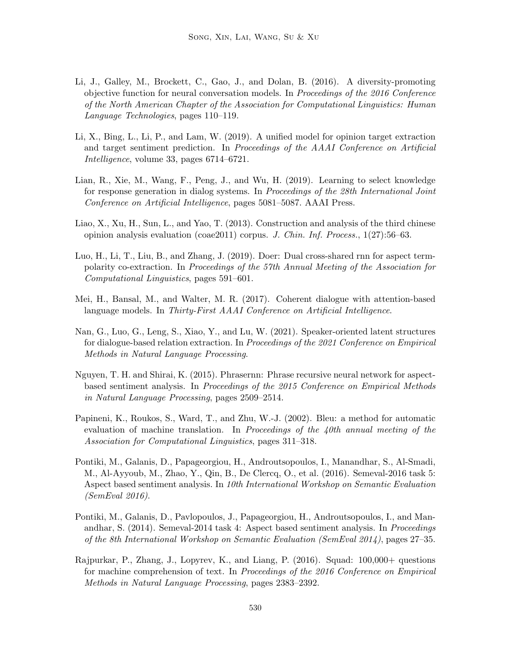- Li, J., Galley, M., Brockett, C., Gao, J., and Dolan, B. (2016). A diversity-promoting objective function for neural conversation models. In Proceedings of the 2016 Conference of the North American Chapter of the Association for Computational Linguistics: Human Language Technologies, pages 110–119.
- Li, X., Bing, L., Li, P., and Lam, W. (2019). A unified model for opinion target extraction and target sentiment prediction. In Proceedings of the AAAI Conference on Artificial Intelligence, volume 33, pages 6714–6721.
- Lian, R., Xie, M., Wang, F., Peng, J., and Wu, H. (2019). Learning to select knowledge for response generation in dialog systems. In Proceedings of the 28th International Joint Conference on Artificial Intelligence, pages 5081–5087. AAAI Press.
- Liao, X., Xu, H., Sun, L., and Yao, T. (2013). Construction and analysis of the third chinese opinion analysis evaluation (coae2011) corpus. J. Chin. Inf. Process., 1(27):56–63.
- Luo, H., Li, T., Liu, B., and Zhang, J. (2019). Doer: Dual cross-shared rnn for aspect termpolarity co-extraction. In Proceedings of the 57th Annual Meeting of the Association for Computational Linguistics, pages 591–601.
- Mei, H., Bansal, M., and Walter, M. R. (2017). Coherent dialogue with attention-based language models. In Thirty-First AAAI Conference on Artificial Intelligence.
- Nan, G., Luo, G., Leng, S., Xiao, Y., and Lu, W. (2021). Speaker-oriented latent structures for dialogue-based relation extraction. In Proceedings of the 2021 Conference on Empirical Methods in Natural Language Processing.
- Nguyen, T. H. and Shirai, K. (2015). Phrasernn: Phrase recursive neural network for aspectbased sentiment analysis. In Proceedings of the 2015 Conference on Empirical Methods in Natural Language Processing, pages 2509–2514.
- Papineni, K., Roukos, S., Ward, T., and Zhu, W.-J. (2002). Bleu: a method for automatic evaluation of machine translation. In Proceedings of the  $\mu$ 0th annual meeting of the Association for Computational Linguistics, pages 311–318.
- Pontiki, M., Galanis, D., Papageorgiou, H., Androutsopoulos, I., Manandhar, S., Al-Smadi, M., Al-Ayyoub, M., Zhao, Y., Qin, B., De Clercq, O., et al. (2016). Semeval-2016 task 5: Aspect based sentiment analysis. In 10th International Workshop on Semantic Evaluation (SemEval 2016).
- Pontiki, M., Galanis, D., Pavlopoulos, J., Papageorgiou, H., Androutsopoulos, I., and Manandhar, S. (2014). Semeval-2014 task 4: Aspect based sentiment analysis. In Proceedings of the 8th International Workshop on Semantic Evaluation (SemEval 2014), pages 27–35.
- Rajpurkar, P., Zhang, J., Lopyrev, K., and Liang, P. (2016). Squad: 100,000+ questions for machine comprehension of text. In Proceedings of the 2016 Conference on Empirical Methods in Natural Language Processing, pages 2383–2392.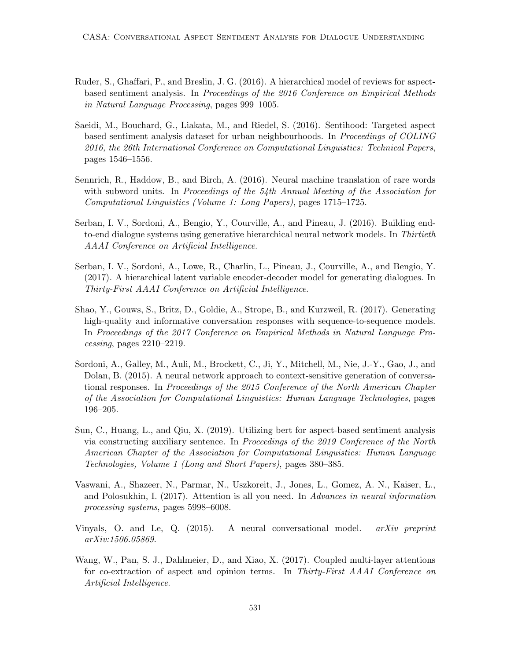- Ruder, S., Ghaffari, P., and Breslin, J. G. (2016). A hierarchical model of reviews for aspectbased sentiment analysis. In Proceedings of the 2016 Conference on Empirical Methods in Natural Language Processing, pages 999–1005.
- Saeidi, M., Bouchard, G., Liakata, M., and Riedel, S. (2016). Sentihood: Targeted aspect based sentiment analysis dataset for urban neighbourhoods. In Proceedings of COLING 2016, the 26th International Conference on Computational Linguistics: Technical Papers, pages 1546–1556.
- Sennrich, R., Haddow, B., and Birch, A. (2016). Neural machine translation of rare words with subword units. In Proceedings of the  $54th$  Annual Meeting of the Association for Computational Linguistics (Volume 1: Long Papers), pages 1715–1725.
- Serban, I. V., Sordoni, A., Bengio, Y., Courville, A., and Pineau, J. (2016). Building endto-end dialogue systems using generative hierarchical neural network models. In Thirtieth AAAI Conference on Artificial Intelligence.
- Serban, I. V., Sordoni, A., Lowe, R., Charlin, L., Pineau, J., Courville, A., and Bengio, Y. (2017). A hierarchical latent variable encoder-decoder model for generating dialogues. In Thirty-First AAAI Conference on Artificial Intelligence.
- Shao, Y., Gouws, S., Britz, D., Goldie, A., Strope, B., and Kurzweil, R. (2017). Generating high-quality and informative conversation responses with sequence-to-sequence models. In Proceedings of the 2017 Conference on Empirical Methods in Natural Language Processing, pages 2210–2219.
- Sordoni, A., Galley, M., Auli, M., Brockett, C., Ji, Y., Mitchell, M., Nie, J.-Y., Gao, J., and Dolan, B. (2015). A neural network approach to context-sensitive generation of conversational responses. In Proceedings of the 2015 Conference of the North American Chapter of the Association for Computational Linguistics: Human Language Technologies, pages 196–205.
- Sun, C., Huang, L., and Qiu, X. (2019). Utilizing bert for aspect-based sentiment analysis via constructing auxiliary sentence. In Proceedings of the 2019 Conference of the North American Chapter of the Association for Computational Linguistics: Human Language Technologies, Volume 1 (Long and Short Papers), pages 380–385.
- Vaswani, A., Shazeer, N., Parmar, N., Uszkoreit, J., Jones, L., Gomez, A. N., Kaiser, L., and Polosukhin, I. (2017). Attention is all you need. In Advances in neural information processing systems, pages 5998–6008.
- Vinyals, O. and Le, Q. (2015). A neural conversational model. arXiv preprint arXiv:1506.05869.
- Wang, W., Pan, S. J., Dahlmeier, D., and Xiao, X. (2017). Coupled multi-layer attentions for co-extraction of aspect and opinion terms. In Thirty-First AAAI Conference on Artificial Intelligence.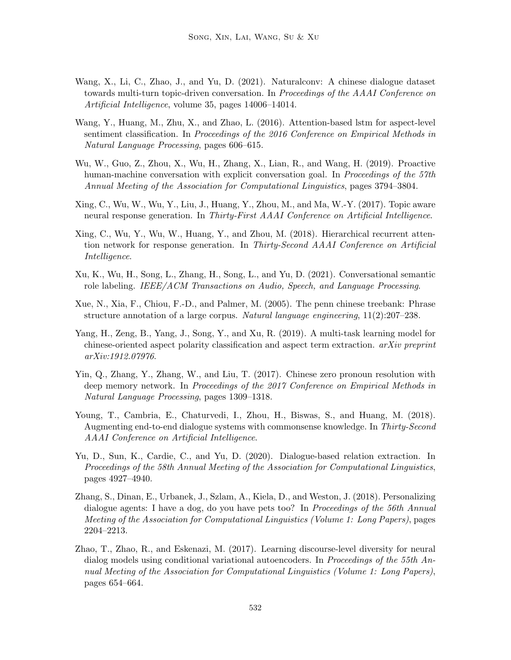- Wang, X., Li, C., Zhao, J., and Yu, D. (2021). Naturalconv: A chinese dialogue dataset towards multi-turn topic-driven conversation. In Proceedings of the AAAI Conference on Artificial Intelligence, volume 35, pages 14006–14014.
- Wang, Y., Huang, M., Zhu, X., and Zhao, L. (2016). Attention-based lstm for aspect-level sentiment classification. In Proceedings of the 2016 Conference on Empirical Methods in Natural Language Processing, pages 606–615.
- Wu, W., Guo, Z., Zhou, X., Wu, H., Zhang, X., Lian, R., and Wang, H. (2019). Proactive human-machine conversation with explicit conversation goal. In Proceedings of the 57th Annual Meeting of the Association for Computational Linguistics, pages 3794–3804.
- Xing, C., Wu, W., Wu, Y., Liu, J., Huang, Y., Zhou, M., and Ma, W.-Y. (2017). Topic aware neural response generation. In Thirty-First AAAI Conference on Artificial Intelligence.
- Xing, C., Wu, Y., Wu, W., Huang, Y., and Zhou, M. (2018). Hierarchical recurrent attention network for response generation. In Thirty-Second AAAI Conference on Artificial Intelligence.
- Xu, K., Wu, H., Song, L., Zhang, H., Song, L., and Yu, D. (2021). Conversational semantic role labeling. IEEE/ACM Transactions on Audio, Speech, and Language Processing.
- Xue, N., Xia, F., Chiou, F.-D., and Palmer, M. (2005). The penn chinese treebank: Phrase structure annotation of a large corpus. Natural language engineering, 11(2):207–238.
- Yang, H., Zeng, B., Yang, J., Song, Y., and Xu, R. (2019). A multi-task learning model for chinese-oriented aspect polarity classification and aspect term extraction. arXiv preprint arXiv:1912.07976.
- Yin, Q., Zhang, Y., Zhang, W., and Liu, T. (2017). Chinese zero pronoun resolution with deep memory network. In Proceedings of the 2017 Conference on Empirical Methods in Natural Language Processing, pages 1309–1318.
- Young, T., Cambria, E., Chaturvedi, I., Zhou, H., Biswas, S., and Huang, M. (2018). Augmenting end-to-end dialogue systems with commonsense knowledge. In Thirty-Second AAAI Conference on Artificial Intelligence.
- Yu, D., Sun, K., Cardie, C., and Yu, D. (2020). Dialogue-based relation extraction. In Proceedings of the 58th Annual Meeting of the Association for Computational Linguistics, pages 4927–4940.
- Zhang, S., Dinan, E., Urbanek, J., Szlam, A., Kiela, D., and Weston, J. (2018). Personalizing dialogue agents: I have a dog, do you have pets too? In *Proceedings of the 56th Annual* Meeting of the Association for Computational Linguistics (Volume 1: Long Papers), pages 2204–2213.
- Zhao, T., Zhao, R., and Eskenazi, M. (2017). Learning discourse-level diversity for neural dialog models using conditional variational autoencoders. In Proceedings of the 55th Annual Meeting of the Association for Computational Linguistics (Volume 1: Long Papers), pages 654–664.